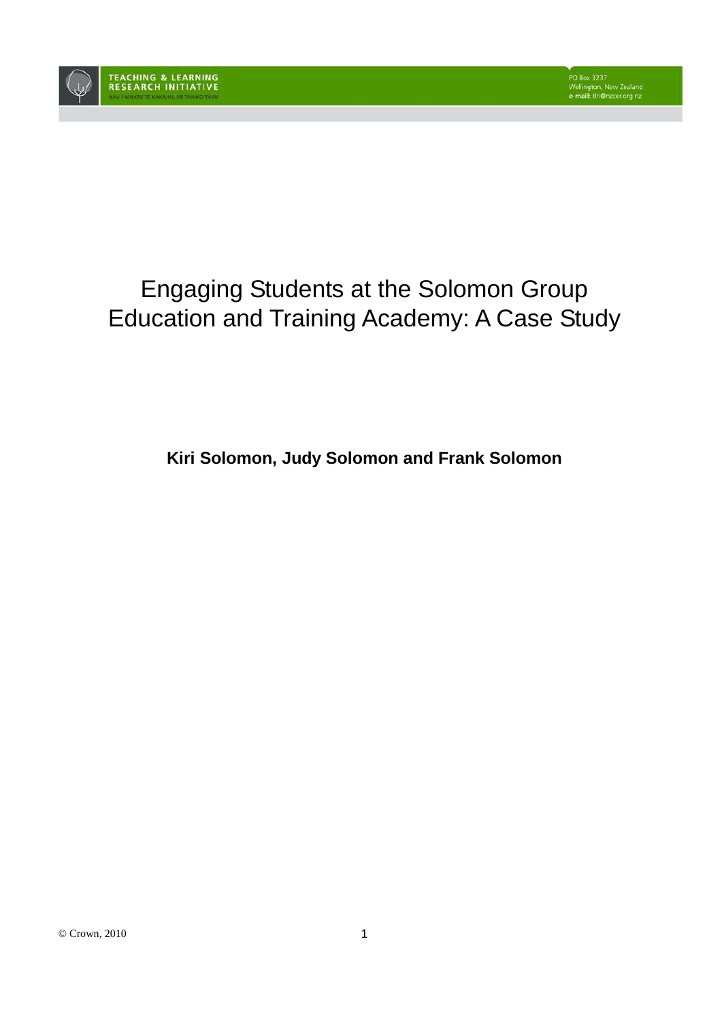# Engaging Students at the Solomon Group Education and Training Academy: A Case Study

**Kiri Solomon, Judy Solomon and Frank Solomon**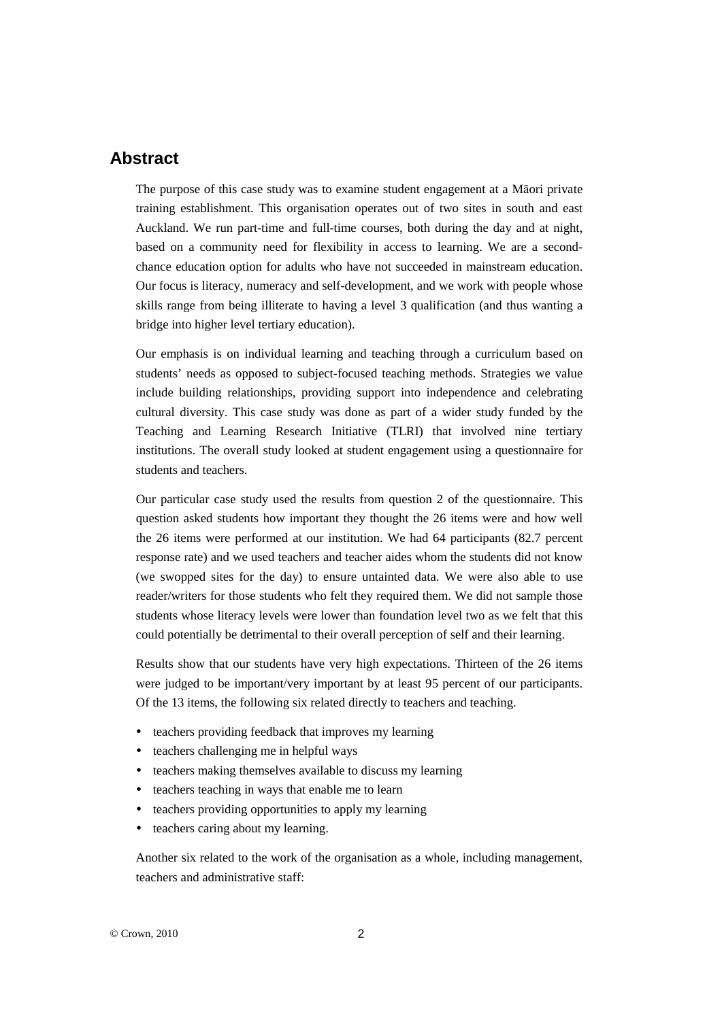## **Abstract**

The purpose of this case study was to examine student engagement at a Māori private training establishment. This organisation operates out of two sites in south and east Auckland. We run part-time and full-time courses, both during the day and at night, based on a community need for flexibility in access to learning. We are a secondchance education option for adults who have not succeeded in mainstream education. Our focus is literacy, numeracy and self-development, and we work with people whose skills range from being illiterate to having a level 3 qualification (and thus wanting a bridge into higher level tertiary education).

Our emphasis is on individual learning and teaching through a curriculum based on students' needs as opposed to subject-focused teaching methods. Strategies we value include building relationships, providing support into independence and celebrating cultural diversity. This case study was done as part of a wider study funded by the Teaching and Learning Research Initiative (TLRI) that involved nine tertiary institutions. The overall study looked at student engagement using a questionnaire for students and teachers.

Our particular case study used the results from question 2 of the questionnaire. This question asked students how important they thought the 26 items were and how well the 26 items were performed at our institution. We had 64 participants (82.7 percent response rate) and we used teachers and teacher aides whom the students did not know (we swopped sites for the day) to ensure untainted data. We were also able to use reader/writers for those students who felt they required them. We did not sample those students whose literacy levels were lower than foundation level two as we felt that this could potentially be detrimental to their overall perception of self and their learning.

Results show that our students have very high expectations. Thirteen of the 26 items were judged to be important/very important by at least 95 percent of our participants. Of the 13 items, the following six related directly to teachers and teaching.

- teachers providing feedback that improves my learning
- teachers challenging me in helpful ways
- teachers making themselves available to discuss my learning
- teachers teaching in ways that enable me to learn
- teachers providing opportunities to apply my learning
- teachers caring about my learning.

Another six related to the work of the organisation as a whole, including management, teachers and administrative staff: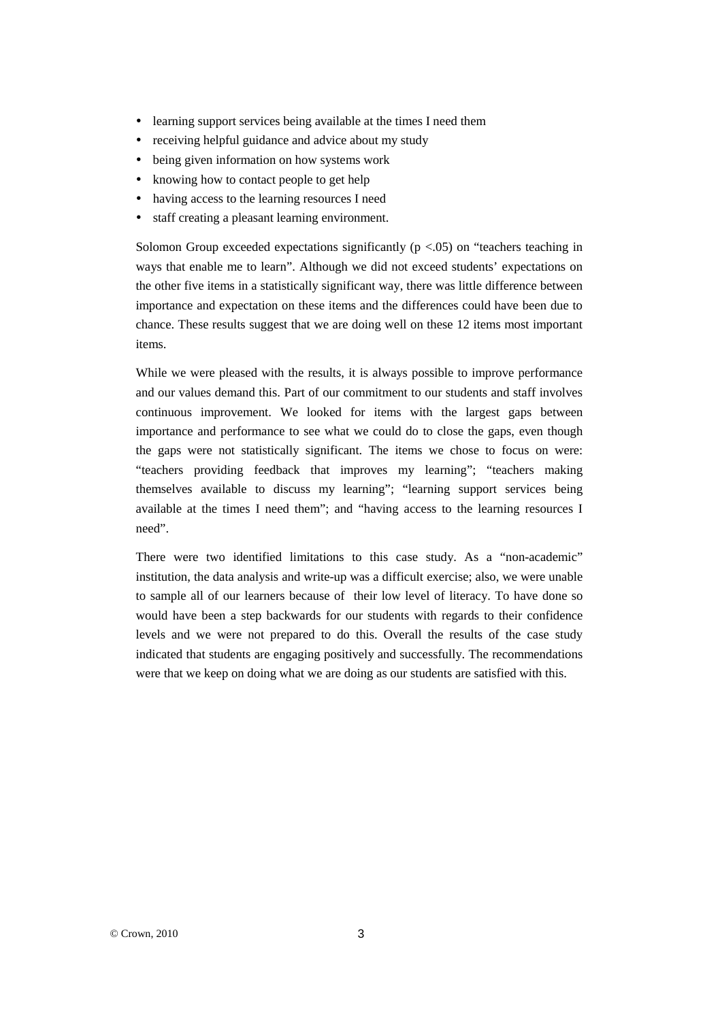- learning support services being available at the times I need them
- receiving helpful guidance and advice about my study
- being given information on how systems work
- knowing how to contact people to get help
- having access to the learning resources I need
- staff creating a pleasant learning environment.

Solomon Group exceeded expectations significantly ( $p < 0.05$ ) on "teachers teaching in ways that enable me to learn". Although we did not exceed students' expectations on the other five items in a statistically significant way, there was little difference between importance and expectation on these items and the differences could have been due to chance. These results suggest that we are doing well on these 12 items most important items.

While we were pleased with the results, it is always possible to improve performance and our values demand this. Part of our commitment to our students and staff involves continuous improvement. We looked for items with the largest gaps between importance and performance to see what we could do to close the gaps, even though the gaps were not statistically significant. The items we chose to focus on were: "teachers providing feedback that improves my learning"; "teachers making themselves available to discuss my learning"; "learning support services being available at the times I need them"; and "having access to the learning resources I need".

There were two identified limitations to this case study. As a "non-academic" institution, the data analysis and write-up was a difficult exercise; also, we were unable to sample all of our learners because of their low level of literacy. To have done so would have been a step backwards for our students with regards to their confidence levels and we were not prepared to do this. Overall the results of the case study indicated that students are engaging positively and successfully. The recommendations were that we keep on doing what we are doing as our students are satisfied with this.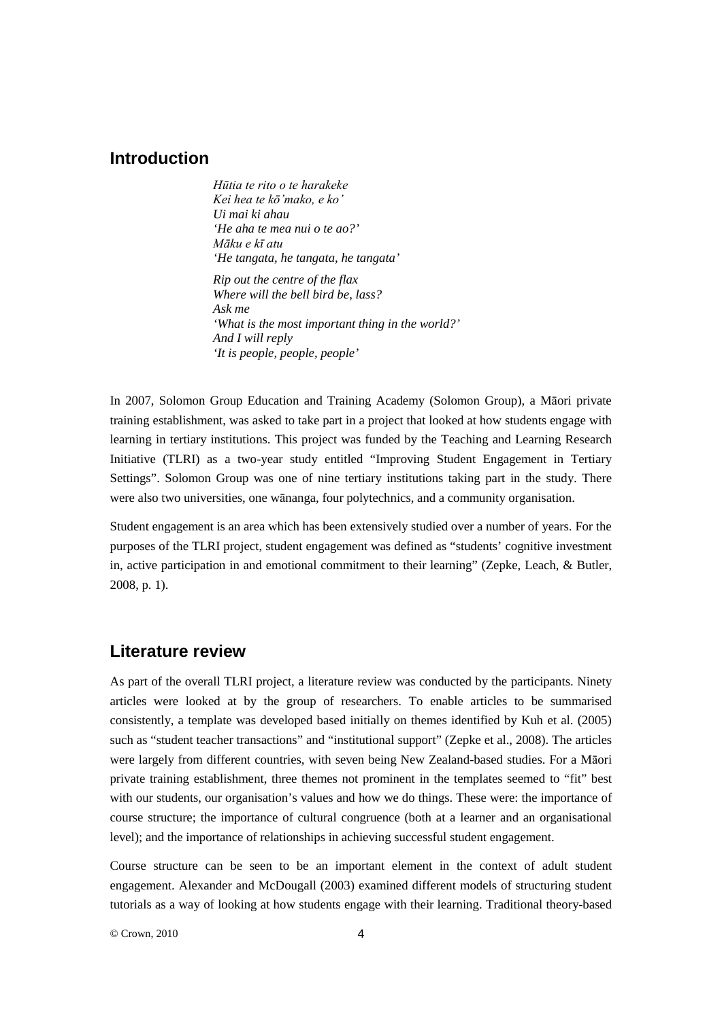# **Introduction**

*Hūtia te rito o te harakeke Kei hea te kō'mako, e ko' Ui mai ki ahau 'He aha te mea nui o te ao?' Māku e kī atu 'He tangata, he tangata, he tangata' Rip out the centre of the flax Where will the bell bird be, lass? Ask me 'What is the most important thing in the world?' And I will reply 'It is people, people, people'* 

In 2007, Solomon Group Education and Training Academy (Solomon Group), a Māori private training establishment, was asked to take part in a project that looked at how students engage with learning in tertiary institutions. This project was funded by the Teaching and Learning Research Initiative (TLRI) as a two-year study entitled "Improving Student Engagement in Tertiary Settings". Solomon Group was one of nine tertiary institutions taking part in the study. There were also two universities, one wānanga, four polytechnics, and a community organisation.

Student engagement is an area which has been extensively studied over a number of years. For the purposes of the TLRI project, student engagement was defined as "students' cognitive investment in, active participation in and emotional commitment to their learning" (Zepke, Leach, & Butler, 2008, p. 1).

## **Literature review**

As part of the overall TLRI project, a literature review was conducted by the participants. Ninety articles were looked at by the group of researchers. To enable articles to be summarised consistently, a template was developed based initially on themes identified by Kuh et al. (2005) such as "student teacher transactions" and "institutional support" (Zepke et al., 2008). The articles were largely from different countries, with seven being New Zealand-based studies. For a Māori private training establishment, three themes not prominent in the templates seemed to "fit" best with our students, our organisation's values and how we do things. These were: the importance of course structure; the importance of cultural congruence (both at a learner and an organisational level); and the importance of relationships in achieving successful student engagement.

Course structure can be seen to be an important element in the context of adult student engagement. Alexander and McDougall (2003) examined different models of structuring student tutorials as a way of looking at how students engage with their learning. Traditional theory-based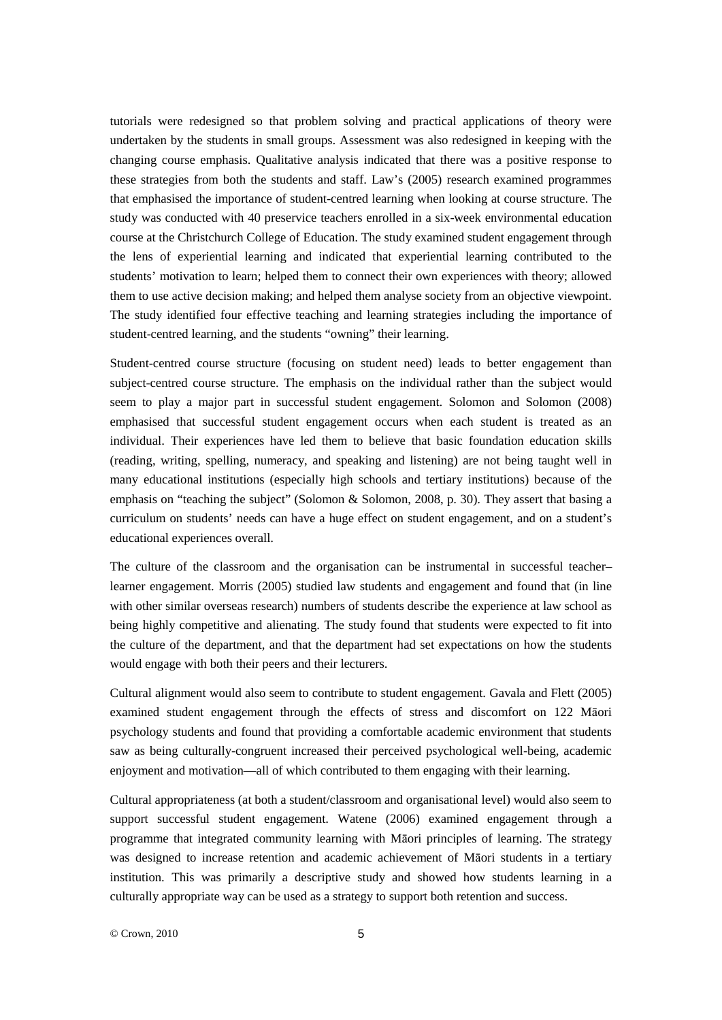tutorials were redesigned so that problem solving and practical applications of theory were undertaken by the students in small groups. Assessment was also redesigned in keeping with the changing course emphasis. Qualitative analysis indicated that there was a positive response to these strategies from both the students and staff. Law's (2005) research examined programmes that emphasised the importance of student-centred learning when looking at course structure. The study was conducted with 40 preservice teachers enrolled in a six-week environmental education course at the Christchurch College of Education. The study examined student engagement through the lens of experiential learning and indicated that experiential learning contributed to the students' motivation to learn; helped them to connect their own experiences with theory; allowed them to use active decision making; and helped them analyse society from an objective viewpoint. The study identified four effective teaching and learning strategies including the importance of student-centred learning, and the students "owning" their learning.

Student-centred course structure (focusing on student need) leads to better engagement than subject-centred course structure. The emphasis on the individual rather than the subject would seem to play a major part in successful student engagement. Solomon and Solomon (2008) emphasised that successful student engagement occurs when each student is treated as an individual. Their experiences have led them to believe that basic foundation education skills (reading, writing, spelling, numeracy, and speaking and listening) are not being taught well in many educational institutions (especially high schools and tertiary institutions) because of the emphasis on "teaching the subject" (Solomon & Solomon, 2008, p. 30). They assert that basing a curriculum on students' needs can have a huge effect on student engagement, and on a student's educational experiences overall.

The culture of the classroom and the organisation can be instrumental in successful teacher– learner engagement. Morris (2005) studied law students and engagement and found that (in line with other similar overseas research) numbers of students describe the experience at law school as being highly competitive and alienating. The study found that students were expected to fit into the culture of the department, and that the department had set expectations on how the students would engage with both their peers and their lecturers.

Cultural alignment would also seem to contribute to student engagement. Gavala and Flett (2005) examined student engagement through the effects of stress and discomfort on 122 Māori psychology students and found that providing a comfortable academic environment that students saw as being culturally-congruent increased their perceived psychological well-being, academic enjoyment and motivation—all of which contributed to them engaging with their learning.

Cultural appropriateness (at both a student/classroom and organisational level) would also seem to support successful student engagement. Watene (2006) examined engagement through a programme that integrated community learning with Māori principles of learning. The strategy was designed to increase retention and academic achievement of Māori students in a tertiary institution. This was primarily a descriptive study and showed how students learning in a culturally appropriate way can be used as a strategy to support both retention and success.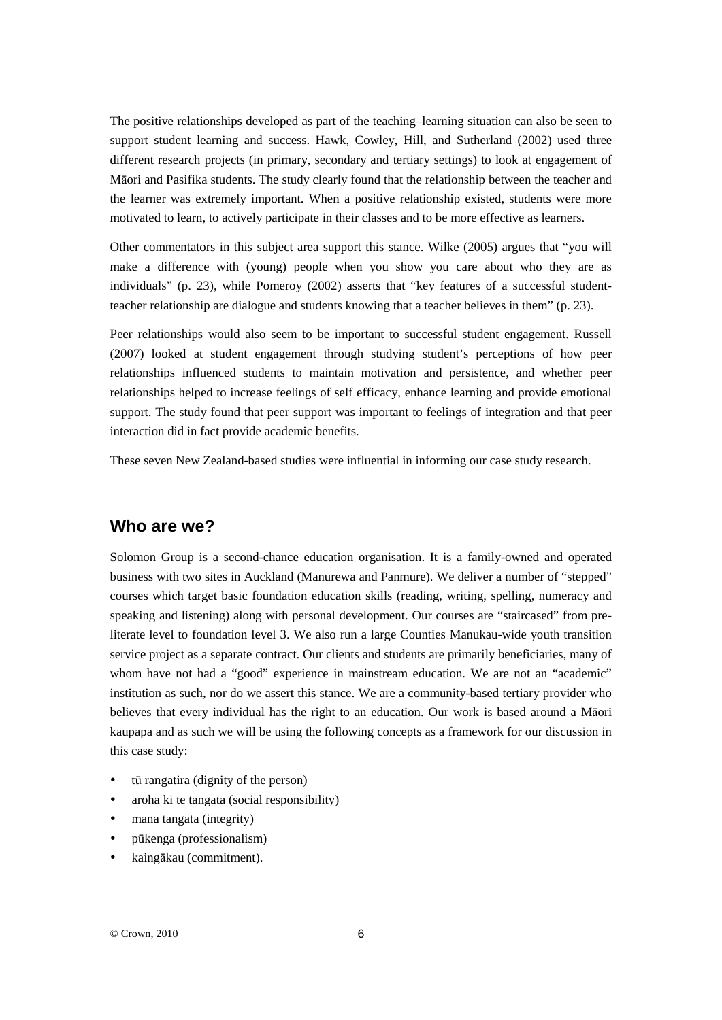The positive relationships developed as part of the teaching–learning situation can also be seen to support student learning and success. Hawk, Cowley, Hill, and Sutherland (2002) used three different research projects (in primary, secondary and tertiary settings) to look at engagement of Māori and Pasifika students. The study clearly found that the relationship between the teacher and the learner was extremely important. When a positive relationship existed, students were more motivated to learn, to actively participate in their classes and to be more effective as learners.

Other commentators in this subject area support this stance. Wilke (2005) argues that "you will make a difference with (young) people when you show you care about who they are as individuals" (p. 23), while Pomeroy (2002) asserts that "key features of a successful studentteacher relationship are dialogue and students knowing that a teacher believes in them" (p. 23).

Peer relationships would also seem to be important to successful student engagement. Russell (2007) looked at student engagement through studying student's perceptions of how peer relationships influenced students to maintain motivation and persistence, and whether peer relationships helped to increase feelings of self efficacy, enhance learning and provide emotional support. The study found that peer support was important to feelings of integration and that peer interaction did in fact provide academic benefits.

These seven New Zealand-based studies were influential in informing our case study research.

# **Who are we?**

Solomon Group is a second-chance education organisation. It is a family-owned and operated business with two sites in Auckland (Manurewa and Panmure). We deliver a number of "stepped" courses which target basic foundation education skills (reading, writing, spelling, numeracy and speaking and listening) along with personal development. Our courses are "staircased" from preliterate level to foundation level 3. We also run a large Counties Manukau-wide youth transition service project as a separate contract. Our clients and students are primarily beneficiaries, many of whom have not had a "good" experience in mainstream education. We are not an "academic" institution as such, nor do we assert this stance. We are a community-based tertiary provider who believes that every individual has the right to an education. Our work is based around a Māori kaupapa and as such we will be using the following concepts as a framework for our discussion in this case study:

- tū rangatira (dignity of the person)
- aroha ki te tangata (social responsibility)
- mana tangata (integrity)
- pūkenga (professionalism)
- kaingākau (commitment).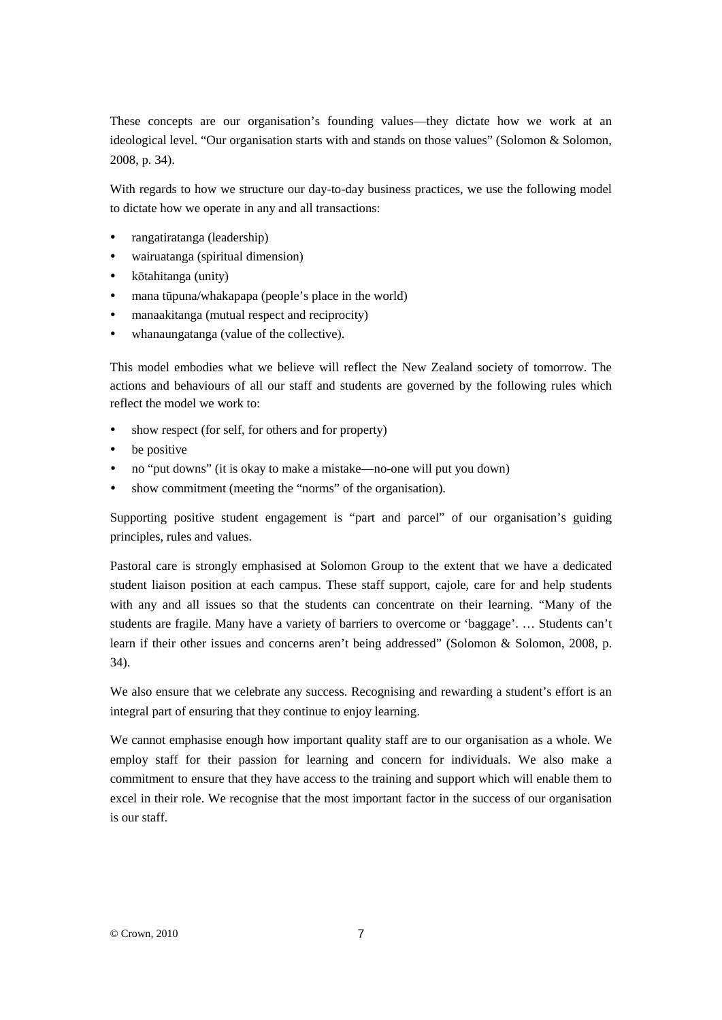These concepts are our organisation's founding values—they dictate how we work at an ideological level. "Our organisation starts with and stands on those values" (Solomon & Solomon, 2008, p. 34).

With regards to how we structure our day-to-day business practices, we use the following model to dictate how we operate in any and all transactions:

- rangatiratanga (leadership)
- wairuatanga (spiritual dimension)
- kōtahitanga (unity)
- mana tūpuna/whakapapa (people's place in the world)
- manaakitanga (mutual respect and reciprocity)
- whanaungatanga (value of the collective).

This model embodies what we believe will reflect the New Zealand society of tomorrow. The actions and behaviours of all our staff and students are governed by the following rules which reflect the model we work to:

- show respect (for self, for others and for property)
- be positive
- no "put downs" (it is okay to make a mistake—no-one will put you down)
- show commitment (meeting the "norms" of the organisation).

Supporting positive student engagement is "part and parcel" of our organisation's guiding principles, rules and values.

Pastoral care is strongly emphasised at Solomon Group to the extent that we have a dedicated student liaison position at each campus. These staff support, cajole, care for and help students with any and all issues so that the students can concentrate on their learning. "Many of the students are fragile. Many have a variety of barriers to overcome or 'baggage'. … Students can't learn if their other issues and concerns aren't being addressed" (Solomon & Solomon, 2008, p. 34).

We also ensure that we celebrate any success. Recognising and rewarding a student's effort is an integral part of ensuring that they continue to enjoy learning.

We cannot emphasise enough how important quality staff are to our organisation as a whole. We employ staff for their passion for learning and concern for individuals. We also make a commitment to ensure that they have access to the training and support which will enable them to excel in their role. We recognise that the most important factor in the success of our organisation is our staff.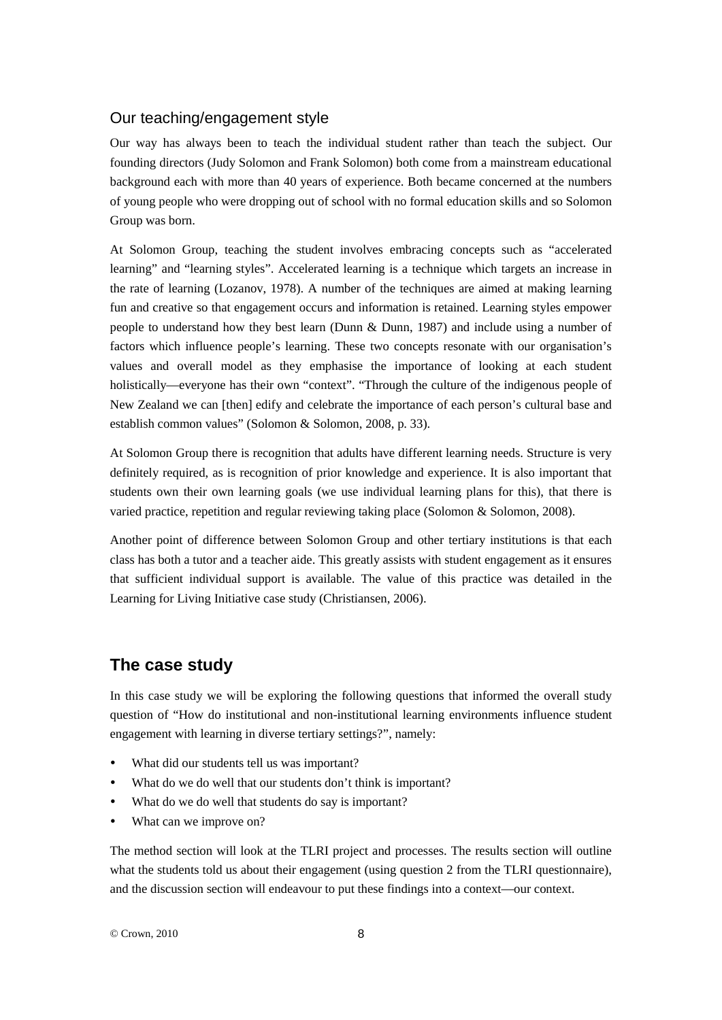## Our teaching/engagement style

Our way has always been to teach the individual student rather than teach the subject. Our founding directors (Judy Solomon and Frank Solomon) both come from a mainstream educational background each with more than 40 years of experience. Both became concerned at the numbers of young people who were dropping out of school with no formal education skills and so Solomon Group was born.

At Solomon Group, teaching the student involves embracing concepts such as "accelerated learning" and "learning styles". Accelerated learning is a technique which targets an increase in the rate of learning (Lozanov, 1978). A number of the techniques are aimed at making learning fun and creative so that engagement occurs and information is retained. Learning styles empower people to understand how they best learn (Dunn & Dunn, 1987) and include using a number of factors which influence people's learning. These two concepts resonate with our organisation's values and overall model as they emphasise the importance of looking at each student holistically—everyone has their own "context". "Through the culture of the indigenous people of New Zealand we can [then] edify and celebrate the importance of each person's cultural base and establish common values" (Solomon & Solomon, 2008, p. 33).

At Solomon Group there is recognition that adults have different learning needs. Structure is very definitely required, as is recognition of prior knowledge and experience. It is also important that students own their own learning goals (we use individual learning plans for this), that there is varied practice, repetition and regular reviewing taking place (Solomon & Solomon, 2008).

Another point of difference between Solomon Group and other tertiary institutions is that each class has both a tutor and a teacher aide. This greatly assists with student engagement as it ensures that sufficient individual support is available. The value of this practice was detailed in the Learning for Living Initiative case study (Christiansen, 2006).

# **The case study**

In this case study we will be exploring the following questions that informed the overall study question of "How do institutional and non-institutional learning environments influence student engagement with learning in diverse tertiary settings?", namely:

- What did our students tell us was important?
- What do we do well that our students don't think is important?
- What do we do well that students do say is important?
- What can we improve on?

The method section will look at the TLRI project and processes. The results section will outline what the students told us about their engagement (using question 2 from the TLRI questionnaire). and the discussion section will endeavour to put these findings into a context—our context.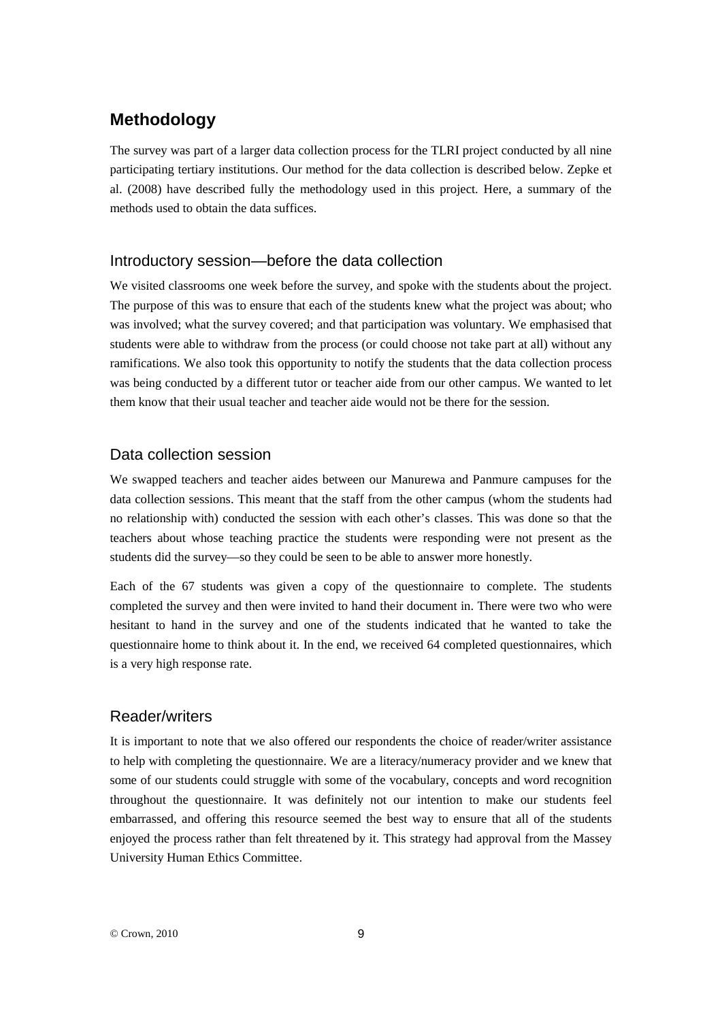# **Methodology**

The survey was part of a larger data collection process for the TLRI project conducted by all nine participating tertiary institutions. Our method for the data collection is described below. Zepke et al. (2008) have described fully the methodology used in this project. Here, a summary of the methods used to obtain the data suffices.

## Introductory session—before the data collection

We visited classrooms one week before the survey, and spoke with the students about the project. The purpose of this was to ensure that each of the students knew what the project was about; who was involved; what the survey covered; and that participation was voluntary. We emphasised that students were able to withdraw from the process (or could choose not take part at all) without any ramifications. We also took this opportunity to notify the students that the data collection process was being conducted by a different tutor or teacher aide from our other campus. We wanted to let them know that their usual teacher and teacher aide would not be there for the session.

## Data collection session

We swapped teachers and teacher aides between our Manurewa and Panmure campuses for the data collection sessions. This meant that the staff from the other campus (whom the students had no relationship with) conducted the session with each other's classes. This was done so that the teachers about whose teaching practice the students were responding were not present as the students did the survey—so they could be seen to be able to answer more honestly.

Each of the 67 students was given a copy of the questionnaire to complete. The students completed the survey and then were invited to hand their document in. There were two who were hesitant to hand in the survey and one of the students indicated that he wanted to take the questionnaire home to think about it. In the end, we received 64 completed questionnaires, which is a very high response rate.

## Reader/writers

It is important to note that we also offered our respondents the choice of reader/writer assistance to help with completing the questionnaire. We are a literacy/numeracy provider and we knew that some of our students could struggle with some of the vocabulary, concepts and word recognition throughout the questionnaire. It was definitely not our intention to make our students feel embarrassed, and offering this resource seemed the best way to ensure that all of the students enjoyed the process rather than felt threatened by it. This strategy had approval from the Massey University Human Ethics Committee.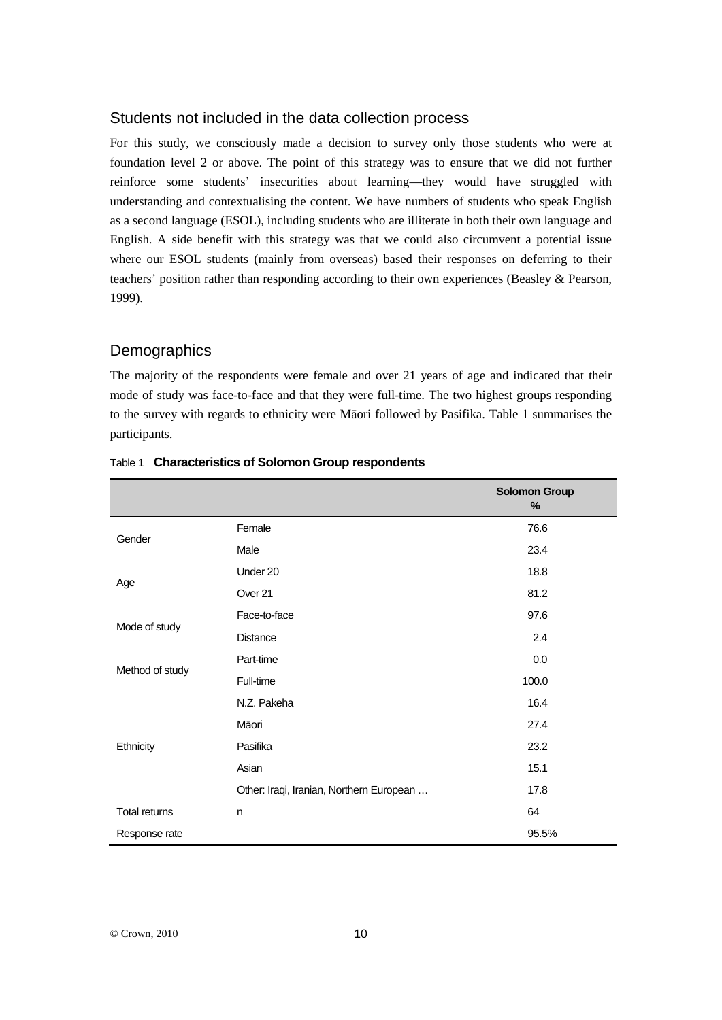#### Students not included in the data collection process

For this study, we consciously made a decision to survey only those students who were at foundation level 2 or above. The point of this strategy was to ensure that we did not further reinforce some students' insecurities about learning—they would have struggled with understanding and contextualising the content. We have numbers of students who speak English as a second language (ESOL), including students who are illiterate in both their own language and English. A side benefit with this strategy was that we could also circumvent a potential issue where our ESOL students (mainly from overseas) based their responses on deferring to their teachers' position rather than responding according to their own experiences (Beasley & Pearson, 1999).

## **Demographics**

The majority of the respondents were female and over 21 years of age and indicated that their mode of study was face-to-face and that they were full-time. The two highest groups responding to the survey with regards to ethnicity were Māori followed by Pasifika. Table 1 summarises the participants.

|                 |                                          | <b>Solomon Group</b><br>% |
|-----------------|------------------------------------------|---------------------------|
|                 | Female                                   | 76.6                      |
| Gender          | Male                                     | 23.4                      |
| Age             | Under 20                                 | 18.8                      |
|                 | Over 21                                  | 81.2                      |
| Mode of study   | Face-to-face                             | 97.6                      |
|                 | <b>Distance</b>                          | 2.4                       |
| Method of study | Part-time                                | 0.0                       |
|                 | Full-time                                | 100.0                     |
| Ethnicity       | N.Z. Pakeha                              | 16.4                      |
|                 | Māori                                    | 27.4                      |
|                 | Pasifika                                 | 23.2                      |
|                 | Asian                                    | 15.1                      |
|                 | Other: Iraqi, Iranian, Northern European | 17.8                      |
| Total returns   | n                                        | 64                        |
| Response rate   |                                          | 95.5%                     |

#### Table 1 **Characteristics of Solomon Group respondents**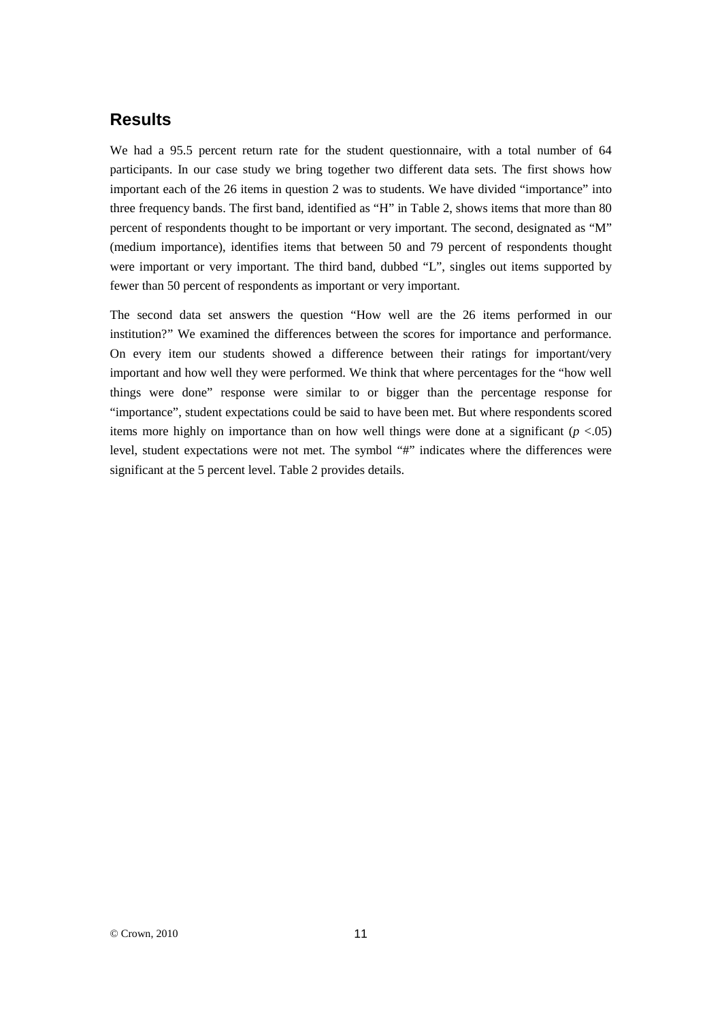# **Results**

We had a 95.5 percent return rate for the student questionnaire, with a total number of 64 participants. In our case study we bring together two different data sets. The first shows how important each of the 26 items in question 2 was to students. We have divided "importance" into three frequency bands. The first band, identified as "H" in Table 2, shows items that more than 80 percent of respondents thought to be important or very important. The second, designated as "M" (medium importance), identifies items that between 50 and 79 percent of respondents thought were important or very important. The third band, dubbed "L", singles out items supported by fewer than 50 percent of respondents as important or very important.

The second data set answers the question "How well are the 26 items performed in our institution?" We examined the differences between the scores for importance and performance. On every item our students showed a difference between their ratings for important/very important and how well they were performed. We think that where percentages for the "how well things were done" response were similar to or bigger than the percentage response for "importance", student expectations could be said to have been met. But where respondents scored items more highly on importance than on how well things were done at a significant  $(p < .05)$ level, student expectations were not met. The symbol "#" indicates where the differences were significant at the 5 percent level. Table 2 provides details.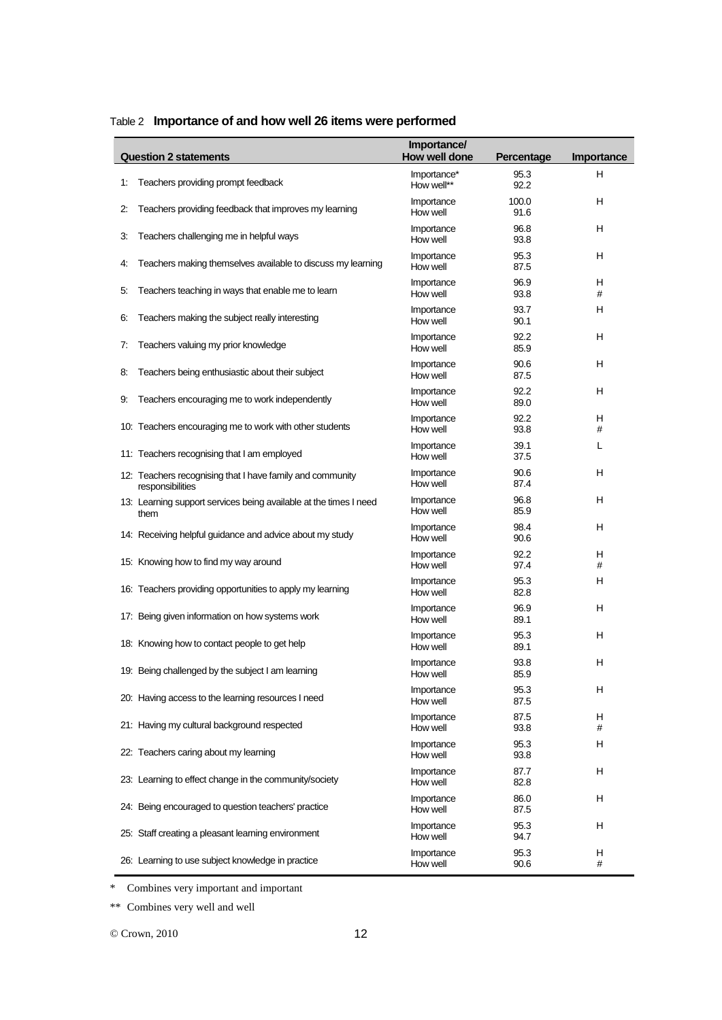|    | <b>Question 2 statements</b>                                                  | Importance/<br>How well done | Percentage    | Importance |
|----|-------------------------------------------------------------------------------|------------------------------|---------------|------------|
| 1: | Teachers providing prompt feedback                                            | Importance*<br>How well**    | 95.3<br>92.2  | н          |
| 2. | Teachers providing feedback that improves my learning                         | Importance<br>How well       | 100.0<br>91.6 | н          |
| 3. | Teachers challenging me in helpful ways                                       | Importance<br>How well       | 96.8<br>93.8  | H          |
| 4. | Teachers making themselves available to discuss my learning                   | Importance<br>How well       | 95.3<br>87.5  | н          |
| 5. | Teachers teaching in ways that enable me to learn                             | Importance<br>How well       | 96.9<br>93.8  | н<br>#     |
| 6. | Teachers making the subject really interesting                                | Importance<br>How well       | 93.7<br>90.1  | н          |
| 7. | Teachers valuing my prior knowledge                                           | Importance<br>How well       | 92.2<br>85.9  | н          |
| 8. | Teachers being enthusiastic about their subject                               | Importance<br>How well       | 90.6<br>87.5  | н          |
| 9. | Teachers encouraging me to work independently                                 | Importance<br>How well       | 92.2<br>89.0  | н          |
|    | 10: Teachers encouraging me to work with other students                       | Importance<br>How well       | 92.2<br>93.8  | н<br>#     |
|    | 11: Teachers recognising that I am employed                                   | Importance<br>How well       | 39.1<br>37.5  | L          |
|    | 12. Teachers recognising that I have family and community<br>responsibilities | Importance<br>How well       | 90.6<br>87.4  | H          |
|    | 13. Learning support services being available at the times I need<br>them     | Importance<br>How well       | 96.8<br>85.9  | н          |
|    | 14. Receiving helpful guidance and advice about my study                      | Importance<br>How well       | 98.4<br>90.6  | н          |
|    | 15: Knowing how to find my way around                                         | Importance<br>How well       | 92.2<br>97.4  | н<br>#     |
|    | 16: Teachers providing opportunities to apply my learning                     | Importance<br>How well       | 95.3<br>82.8  | H          |
|    | 17: Being given information on how systems work                               | Importance<br>How well       | 96.9<br>89.1  | н          |
|    | 18: Knowing how to contact people to get help                                 | Importance<br>How well       | 95.3<br>89.1  | Н          |
|    | 19: Being challenged by the subject I am learning                             | Importance<br>How well       | 93.8<br>85.9  | н          |
|    | 20: Having access to the learning resources I need                            | Importance<br>How well       | 95.3<br>87.5  | н          |
|    | 21: Having my cultural background respected                                   | Importance<br>How well       | 87.5<br>93.8  | н<br>#     |
|    | 22: Teachers caring about my learning                                         | Importance<br>How well       | 95.3<br>93.8  | н          |
|    | 23: Learning to effect change in the community/society                        | Importance<br>How well       | 87.7<br>82.8  | н          |
|    | 24: Being encouraged to question teachers' practice                           | Importance<br>How well       | 86.0<br>87.5  | н          |
|    | 25: Staff creating a pleasant learning environment                            | Importance<br>How well       | 95.3<br>94.7  | н          |
|    | 26: Learning to use subject knowledge in practice                             | Importance<br>How well       | 95.3<br>90.6  | н<br>#     |

# Table 2 **Importance of and how well 26 items were performed**

\* Combines very important and important

\*\* Combines very well and well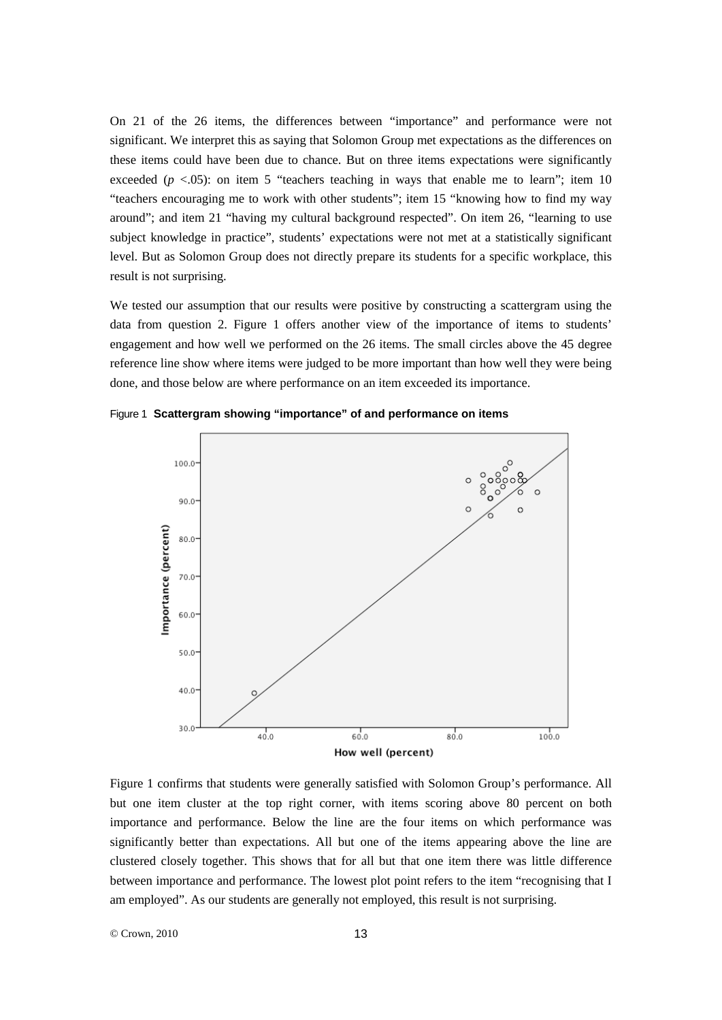On 21 of the 26 items, the differences between "importance" and performance were not significant. We interpret this as saying that Solomon Group met expectations as the differences on these items could have been due to chance. But on three items expectations were significantly exceeded ( $p < .05$ ): on item 5 "teachers teaching in ways that enable me to learn"; item 10 "teachers encouraging me to work with other students"; item 15 "knowing how to find my way around"; and item 21 "having my cultural background respected". On item 26, "learning to use subject knowledge in practice", students' expectations were not met at a statistically significant level. But as Solomon Group does not directly prepare its students for a specific workplace, this result is not surprising.

We tested our assumption that our results were positive by constructing a scattergram using the data from question 2. Figure 1 offers another view of the importance of items to students' engagement and how well we performed on the 26 items. The small circles above the 45 degree reference line show where items were judged to be more important than how well they were being done, and those below are where performance on an item exceeded its importance.



Figure 1 **Scattergram showing "importance" of and performance on items**

Figure 1 confirms that students were generally satisfied with Solomon Group's performance. All but one item cluster at the top right corner, with items scoring above 80 percent on both importance and performance. Below the line are the four items on which performance was significantly better than expectations. All but one of the items appearing above the line are clustered closely together. This shows that for all but that one item there was little difference between importance and performance. The lowest plot point refers to the item "recognising that I am employed". As our students are generally not employed, this result is not surprising.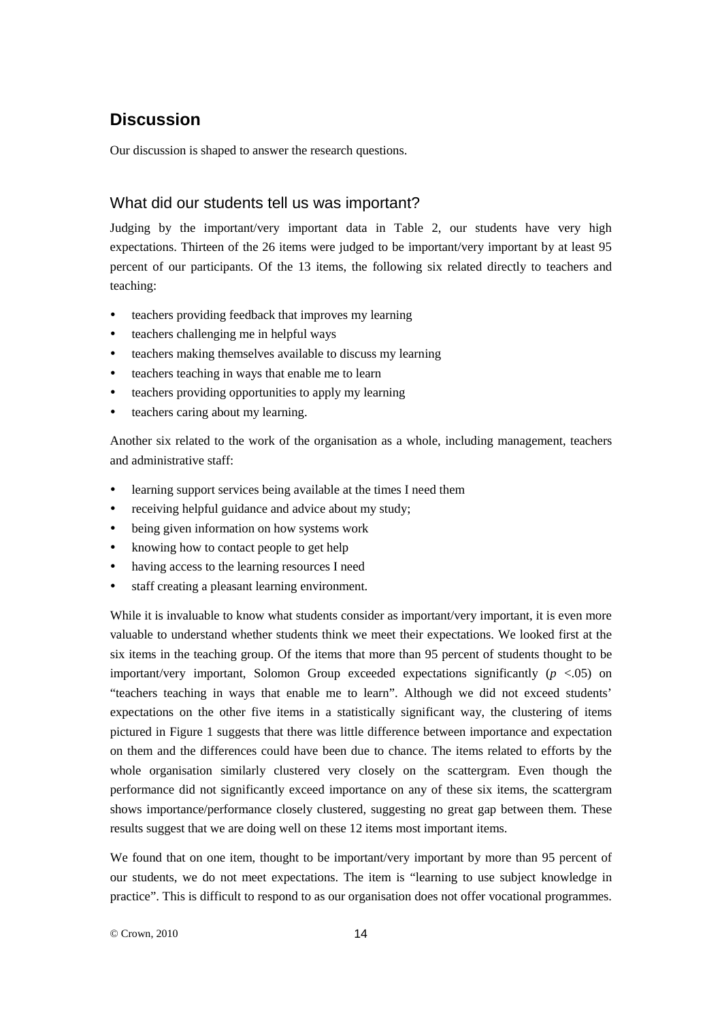# **Discussion**

Our discussion is shaped to answer the research questions.

## What did our students tell us was important?

Judging by the important/very important data in Table 2, our students have very high expectations. Thirteen of the 26 items were judged to be important/very important by at least 95 percent of our participants. Of the 13 items, the following six related directly to teachers and teaching:

- teachers providing feedback that improves my learning
- teachers challenging me in helpful ways
- teachers making themselves available to discuss my learning
- teachers teaching in ways that enable me to learn
- teachers providing opportunities to apply my learning
- teachers caring about my learning.

Another six related to the work of the organisation as a whole, including management, teachers and administrative staff:

- learning support services being available at the times I need them
- receiving helpful guidance and advice about my study;
- being given information on how systems work
- knowing how to contact people to get help
- having access to the learning resources I need
- staff creating a pleasant learning environment.

While it is invaluable to know what students consider as important/very important, it is even more valuable to understand whether students think we meet their expectations. We looked first at the six items in the teaching group. Of the items that more than 95 percent of students thought to be important/very important, Solomon Group exceeded expectations significantly  $(p \lt 0.05)$  on "teachers teaching in ways that enable me to learn". Although we did not exceed students' expectations on the other five items in a statistically significant way, the clustering of items pictured in Figure 1 suggests that there was little difference between importance and expectation on them and the differences could have been due to chance. The items related to efforts by the whole organisation similarly clustered very closely on the scattergram. Even though the performance did not significantly exceed importance on any of these six items, the scattergram shows importance/performance closely clustered, suggesting no great gap between them. These results suggest that we are doing well on these 12 items most important items.

We found that on one item, thought to be important/very important by more than 95 percent of our students, we do not meet expectations. The item is "learning to use subject knowledge in practice". This is difficult to respond to as our organisation does not offer vocational programmes.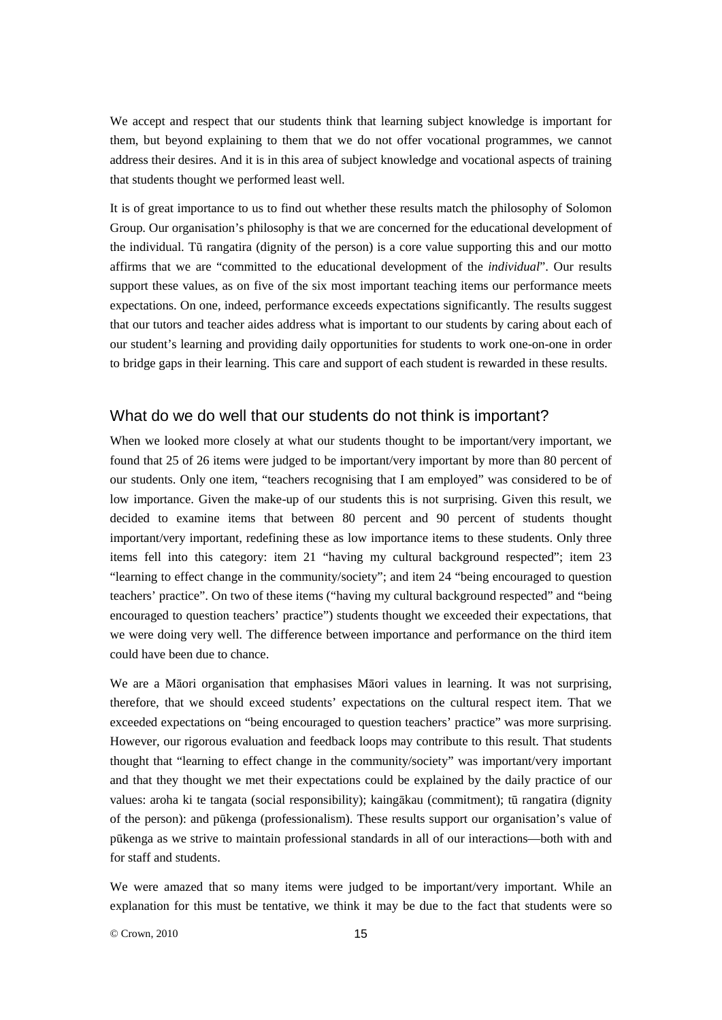We accept and respect that our students think that learning subject knowledge is important for them, but beyond explaining to them that we do not offer vocational programmes, we cannot address their desires. And it is in this area of subject knowledge and vocational aspects of training that students thought we performed least well.

It is of great importance to us to find out whether these results match the philosophy of Solomon Group. Our organisation's philosophy is that we are concerned for the educational development of the individual. Tū rangatira (dignity of the person) is a core value supporting this and our motto affirms that we are "committed to the educational development of the *individual*". Our results support these values, as on five of the six most important teaching items our performance meets expectations. On one, indeed, performance exceeds expectations significantly. The results suggest that our tutors and teacher aides address what is important to our students by caring about each of our student's learning and providing daily opportunities for students to work one-on-one in order to bridge gaps in their learning. This care and support of each student is rewarded in these results.

#### What do we do well that our students do not think is important?

When we looked more closely at what our students thought to be important/very important, we found that 25 of 26 items were judged to be important/very important by more than 80 percent of our students. Only one item, "teachers recognising that I am employed" was considered to be of low importance. Given the make-up of our students this is not surprising. Given this result, we decided to examine items that between 80 percent and 90 percent of students thought important/very important, redefining these as low importance items to these students. Only three items fell into this category: item 21 "having my cultural background respected"; item 23 "learning to effect change in the community/society"; and item 24 "being encouraged to question teachers' practice". On two of these items ("having my cultural background respected" and "being encouraged to question teachers' practice") students thought we exceeded their expectations, that we were doing very well. The difference between importance and performance on the third item could have been due to chance.

We are a Māori organisation that emphasises Māori values in learning. It was not surprising, therefore, that we should exceed students' expectations on the cultural respect item. That we exceeded expectations on "being encouraged to question teachers' practice" was more surprising. However, our rigorous evaluation and feedback loops may contribute to this result. That students thought that "learning to effect change in the community/society" was important/very important and that they thought we met their expectations could be explained by the daily practice of our values: aroha ki te tangata (social responsibility); kaingākau (commitment); tū rangatira (dignity of the person): and pūkenga (professionalism). These results support our organisation's value of pūkenga as we strive to maintain professional standards in all of our interactions—both with and for staff and students.

We were amazed that so many items were judged to be important/very important. While an explanation for this must be tentative, we think it may be due to the fact that students were so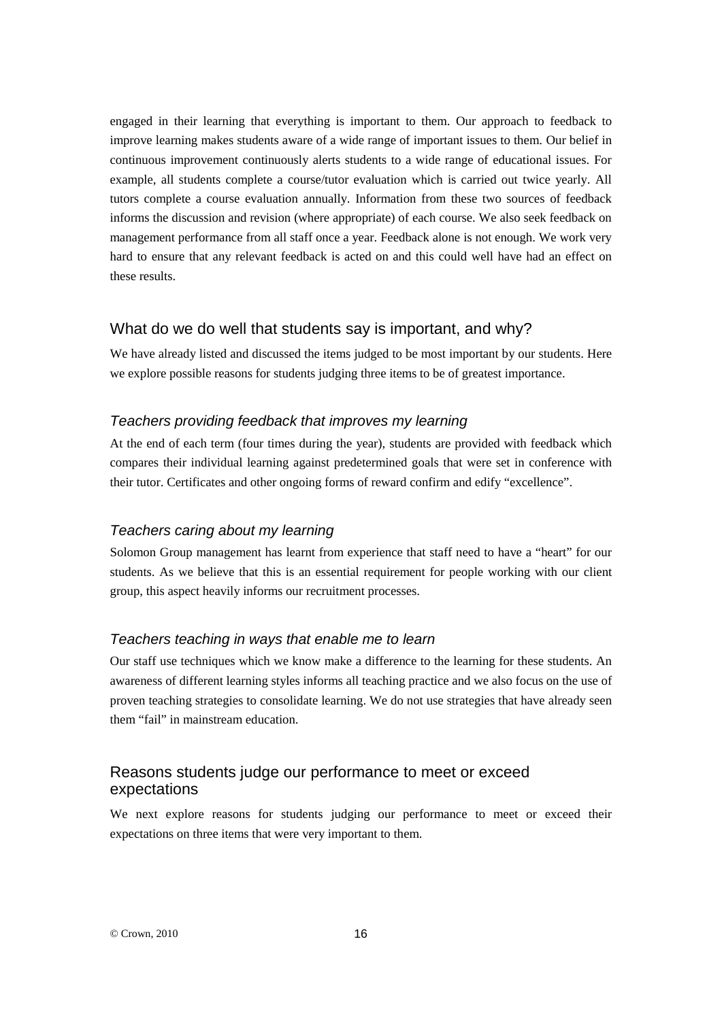engaged in their learning that everything is important to them. Our approach to feedback to improve learning makes students aware of a wide range of important issues to them. Our belief in continuous improvement continuously alerts students to a wide range of educational issues. For example, all students complete a course/tutor evaluation which is carried out twice yearly. All tutors complete a course evaluation annually. Information from these two sources of feedback informs the discussion and revision (where appropriate) of each course. We also seek feedback on management performance from all staff once a year. Feedback alone is not enough. We work very hard to ensure that any relevant feedback is acted on and this could well have had an effect on these results.

## What do we do well that students say is important, and why?

We have already listed and discussed the items judged to be most important by our students. Here we explore possible reasons for students judging three items to be of greatest importance.

#### *Teachers providing feedback that improves my learning*

At the end of each term (four times during the year), students are provided with feedback which compares their individual learning against predetermined goals that were set in conference with their tutor. Certificates and other ongoing forms of reward confirm and edify "excellence".

#### *Teachers caring about my learning*

Solomon Group management has learnt from experience that staff need to have a "heart" for our students. As we believe that this is an essential requirement for people working with our client group, this aspect heavily informs our recruitment processes.

#### *Teachers teaching in ways that enable me to learn*

Our staff use techniques which we know make a difference to the learning for these students. An awareness of different learning styles informs all teaching practice and we also focus on the use of proven teaching strategies to consolidate learning. We do not use strategies that have already seen them "fail" in mainstream education.

## Reasons students judge our performance to meet or exceed expectations

We next explore reasons for students judging our performance to meet or exceed their expectations on three items that were very important to them.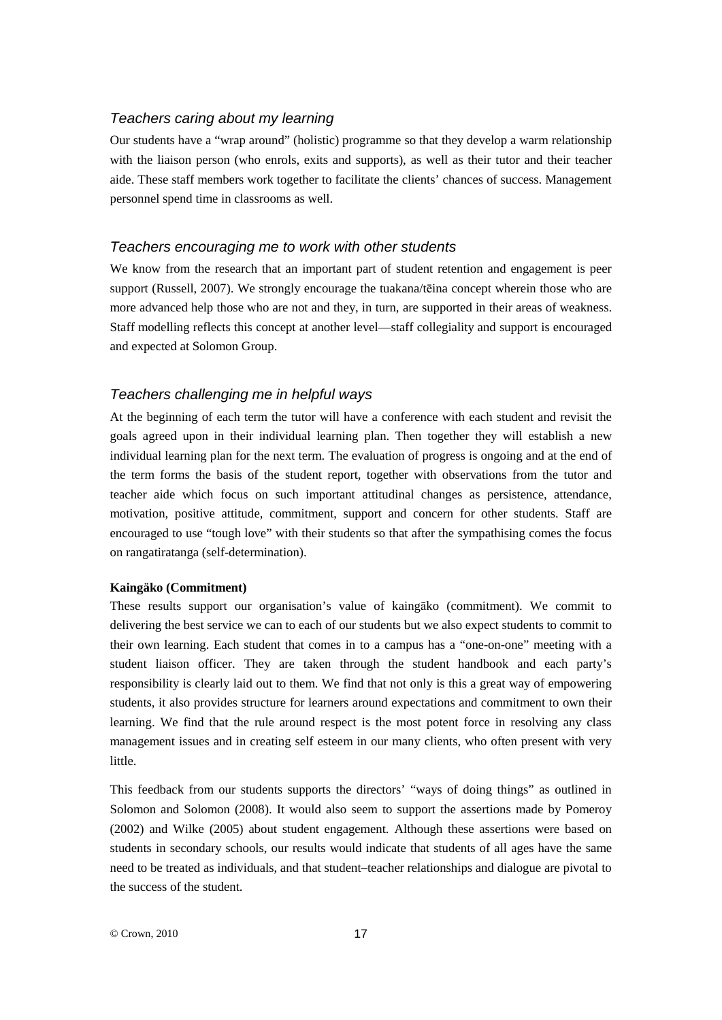#### *Teachers caring about my learning*

Our students have a "wrap around" (holistic) programme so that they develop a warm relationship with the liaison person (who enrols, exits and supports), as well as their tutor and their teacher aide. These staff members work together to facilitate the clients' chances of success. Management personnel spend time in classrooms as well.

#### *Teachers encouraging me to work with other students*

We know from the research that an important part of student retention and engagement is peer support (Russell, 2007). We strongly encourage the tuakana/tēina concept wherein those who are more advanced help those who are not and they, in turn, are supported in their areas of weakness. Staff modelling reflects this concept at another level—staff collegiality and support is encouraged and expected at Solomon Group.

#### *Teachers challenging me in helpful ways*

At the beginning of each term the tutor will have a conference with each student and revisit the goals agreed upon in their individual learning plan. Then together they will establish a new individual learning plan for the next term. The evaluation of progress is ongoing and at the end of the term forms the basis of the student report, together with observations from the tutor and teacher aide which focus on such important attitudinal changes as persistence, attendance, motivation, positive attitude, commitment, support and concern for other students. Staff are encouraged to use "tough love" with their students so that after the sympathising comes the focus on rangatiratanga (self-determination).

#### **Kaingäko (Commitment)**

These results support our organisation's value of kaingāko (commitment). We commit to delivering the best service we can to each of our students but we also expect students to commit to their own learning. Each student that comes in to a campus has a "one-on-one" meeting with a student liaison officer. They are taken through the student handbook and each party's responsibility is clearly laid out to them. We find that not only is this a great way of empowering students, it also provides structure for learners around expectations and commitment to own their learning. We find that the rule around respect is the most potent force in resolving any class management issues and in creating self esteem in our many clients, who often present with very little.

This feedback from our students supports the directors' "ways of doing things" as outlined in Solomon and Solomon (2008). It would also seem to support the assertions made by Pomeroy (2002) and Wilke (2005) about student engagement. Although these assertions were based on students in secondary schools, our results would indicate that students of all ages have the same need to be treated as individuals, and that student–teacher relationships and dialogue are pivotal to the success of the student.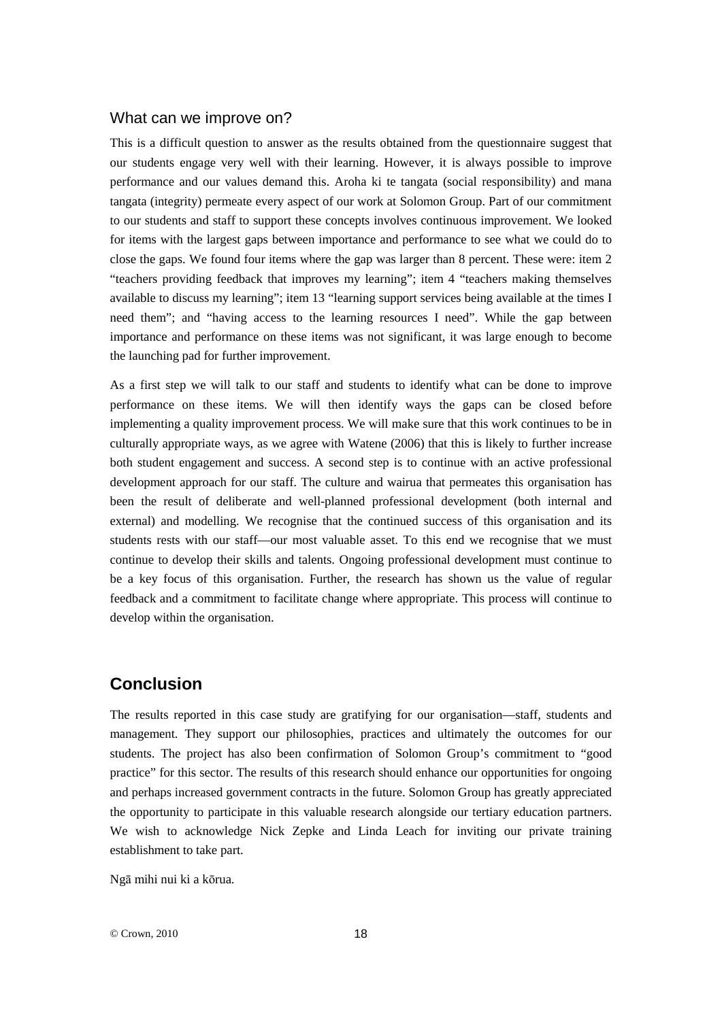#### What can we improve on?

This is a difficult question to answer as the results obtained from the questionnaire suggest that our students engage very well with their learning. However, it is always possible to improve performance and our values demand this. Aroha ki te tangata (social responsibility) and mana tangata (integrity) permeate every aspect of our work at Solomon Group. Part of our commitment to our students and staff to support these concepts involves continuous improvement. We looked for items with the largest gaps between importance and performance to see what we could do to close the gaps. We found four items where the gap was larger than 8 percent. These were: item 2 "teachers providing feedback that improves my learning"; item 4 "teachers making themselves available to discuss my learning"; item 13 "learning support services being available at the times I need them"; and "having access to the learning resources I need". While the gap between importance and performance on these items was not significant, it was large enough to become the launching pad for further improvement.

As a first step we will talk to our staff and students to identify what can be done to improve performance on these items. We will then identify ways the gaps can be closed before implementing a quality improvement process. We will make sure that this work continues to be in culturally appropriate ways, as we agree with Watene (2006) that this is likely to further increase both student engagement and success. A second step is to continue with an active professional development approach for our staff. The culture and wairua that permeates this organisation has been the result of deliberate and well-planned professional development (both internal and external) and modelling. We recognise that the continued success of this organisation and its students rests with our staff—our most valuable asset. To this end we recognise that we must continue to develop their skills and talents. Ongoing professional development must continue to be a key focus of this organisation. Further, the research has shown us the value of regular feedback and a commitment to facilitate change where appropriate. This process will continue to develop within the organisation.

# **Conclusion**

The results reported in this case study are gratifying for our organisation—staff, students and management. They support our philosophies, practices and ultimately the outcomes for our students. The project has also been confirmation of Solomon Group's commitment to "good practice" for this sector. The results of this research should enhance our opportunities for ongoing and perhaps increased government contracts in the future. Solomon Group has greatly appreciated the opportunity to participate in this valuable research alongside our tertiary education partners. We wish to acknowledge Nick Zepke and Linda Leach for inviting our private training establishment to take part.

Ngā mihi nui ki a kōrua.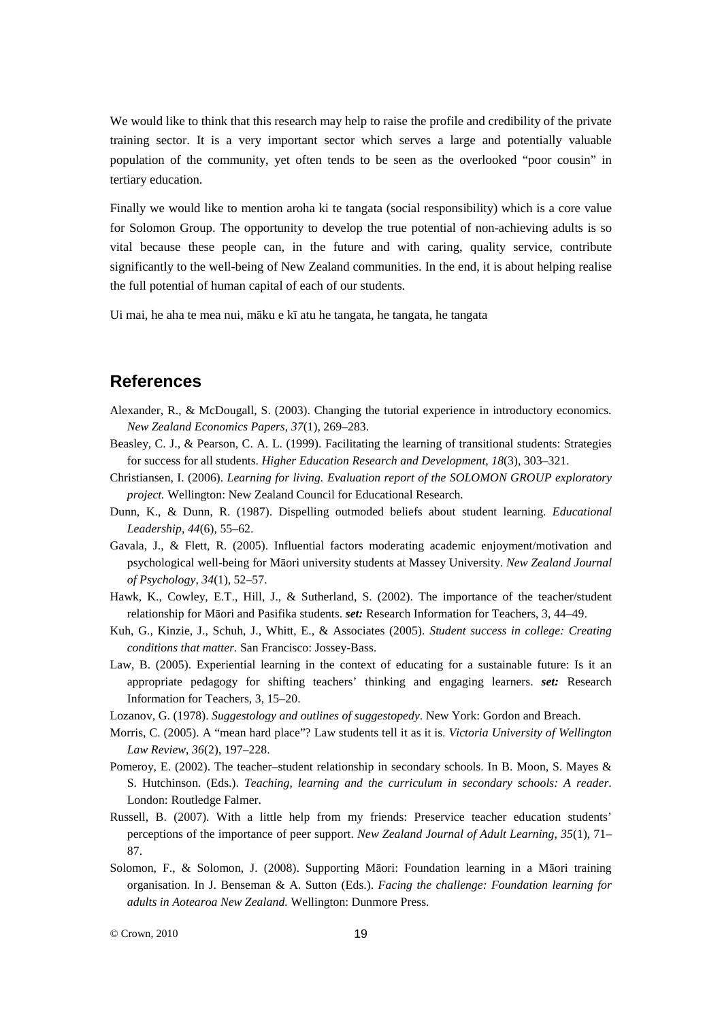We would like to think that this research may help to raise the profile and credibility of the private training sector. It is a very important sector which serves a large and potentially valuable population of the community, yet often tends to be seen as the overlooked "poor cousin" in tertiary education.

Finally we would like to mention aroha ki te tangata (social responsibility) which is a core value for Solomon Group. The opportunity to develop the true potential of non-achieving adults is so vital because these people can, in the future and with caring, quality service, contribute significantly to the well-being of New Zealand communities. In the end, it is about helping realise the full potential of human capital of each of our students.

Ui mai, he aha te mea nui, māku e kī atu he tangata, he tangata, he tangata

# **References**

- Alexander, R., & McDougall, S. (2003). Changing the tutorial experience in introductory economics. *New Zealand Economics Papers*, *37*(1), 269–283.
- Beasley, C. J., & Pearson, C. A. L. (1999). Facilitating the learning of transitional students: Strategies for success for all students. *Higher Education Research and Development*, *18*(3), 303–321.
- Christiansen, I. (2006). *Learning for living. Evaluation report of the SOLOMON GROUP exploratory project.* Wellington: New Zealand Council for Educational Research.
- Dunn, K., & Dunn, R. (1987). Dispelling outmoded beliefs about student learning. *Educational Leadership*, *44*(6), 55–62.
- Gavala, J., & Flett, R. (2005). Influential factors moderating academic enjoyment/motivation and psychological well-being for Māori university students at Massey University. *New Zealand Journal of Psychology*, *34*(1), 52–57.
- Hawk, K., Cowley, E.T., Hill, J., & Sutherland, S. (2002). The importance of the teacher/student relationship for Māori and Pasifika students. *set:* Research Information for Teachers, 3, 44–49.
- Kuh, G., Kinzie, J., Schuh, J., Whitt, E., & Associates (2005). *Student success in college: Creating conditions that matter.* San Francisco: Jossey-Bass.
- Law, B. (2005). Experiential learning in the context of educating for a sustainable future: Is it an appropriate pedagogy for shifting teachers' thinking and engaging learners. *set:* Research Information for Teachers, 3, 15–20.
- Lozanov, G. (1978). *Suggestology and outlines of suggestopedy*. New York: Gordon and Breach.
- Morris, C. (2005). A "mean hard place"? Law students tell it as it is. *Victoria University of Wellington Law Review*, *36*(2), 197–228.
- Pomeroy, E. (2002). The teacher–student relationship in secondary schools. In B. Moon, S. Mayes & S. Hutchinson. (Eds.). *Teaching, learning and the curriculum in secondary schools: A reader*. London: Routledge Falmer.
- Russell, B. (2007). With a little help from my friends: Preservice teacher education students' perceptions of the importance of peer support. *New Zealand Journal of Adult Learning*, *35*(1), 71– 87.
- Solomon, F., & Solomon, J. (2008). Supporting Māori: Foundation learning in a Māori training organisation. In J. Benseman & A. Sutton (Eds.). *Facing the challenge: Foundation learning for adults in Aotearoa New Zealand.* Wellington: Dunmore Press.